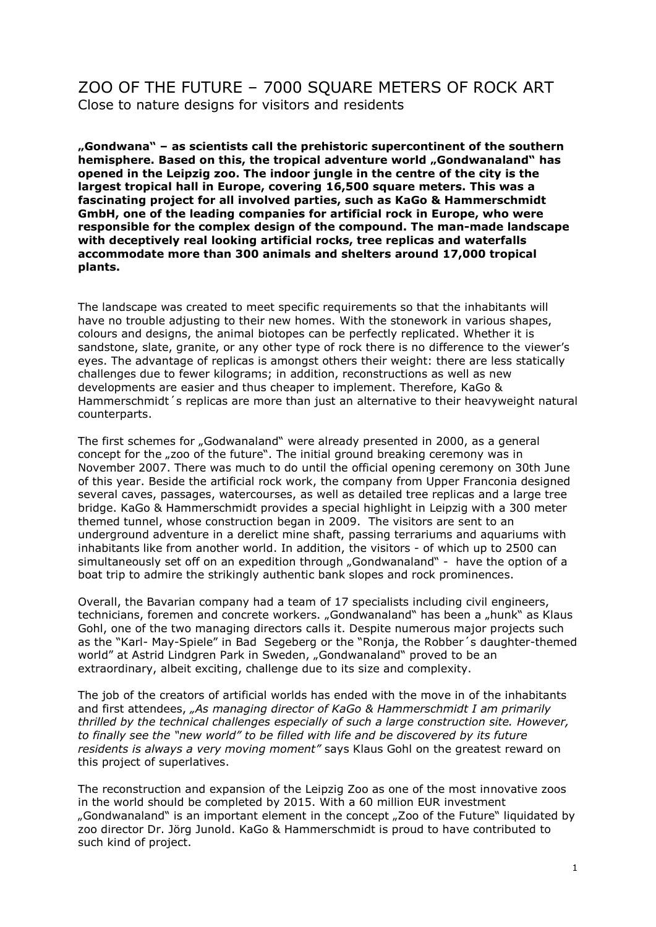## ZOO OF THE FUTURE – 7000 SQUARE METERS OF ROCK ART Close to nature designs for visitors and residents

**"Gondwana" – as scientists call the prehistoric supercontinent of the southern hemisphere. Based on this, the tropical adventure world "Gondwanaland" has opened in the Leipzig zoo. The indoor jungle in the centre of the city is the largest tropical hall in Europe, covering 16,500 square meters. This was a fascinating project for all involved parties, such as KaGo & Hammerschmidt GmbH, one of the leading companies for artificial rock in Europe, who were responsible for the complex design of the compound. The man-made landscape with deceptively real looking artificial rocks, tree replicas and waterfalls accommodate more than 300 animals and shelters around 17,000 tropical plants.** 

The landscape was created to meet specific requirements so that the inhabitants will have no trouble adjusting to their new homes. With the stonework in various shapes, colours and designs, the animal biotopes can be perfectly replicated. Whether it is sandstone, slate, granite, or any other type of rock there is no difference to the viewer's eyes. The advantage of replicas is amongst others their weight: there are less statically challenges due to fewer kilograms; in addition, reconstructions as well as new developments are easier and thus cheaper to implement. Therefore, KaGo & Hammerschmidt´s replicas are more than just an alternative to their heavyweight natural counterparts.

The first schemes for "Godwanaland" were already presented in 2000, as a general concept for the "zoo of the future". The initial ground breaking ceremony was in November 2007. There was much to do until the official opening ceremony on 30th June of this year. Beside the artificial rock work, the company from Upper Franconia designed several caves, passages, watercourses, as well as detailed tree replicas and a large tree bridge. KaGo & Hammerschmidt provides a special highlight in Leipzig with a 300 meter themed tunnel, whose construction began in 2009. The visitors are sent to an underground adventure in a derelict mine shaft, passing terrariums and aquariums with inhabitants like from another world. In addition, the visitors - of which up to 2500 can simultaneously set off on an expedition through "Gondwanaland" - have the option of a boat trip to admire the strikingly authentic bank slopes and rock prominences.

Overall, the Bavarian company had a team of 17 specialists including civil engineers, technicians, foremen and concrete workers. "Gondwanaland" has been a "hunk" as Klaus Gohl, one of the two managing directors calls it. Despite numerous major projects such as the "Karl- May-Spiele" in Bad Segeberg or the "Ronja, the Robber´s daughter-themed world" at Astrid Lindgren Park in Sweden, "Gondwanaland" proved to be an extraordinary, albeit exciting, challenge due to its size and complexity.

The job of the creators of artificial worlds has ended with the move in of the inhabitants and first attendees, *"As managing director of KaGo & Hammerschmidt I am primarily thrilled by the technical challenges especially of such a large construction site. However, to finally see the "new world" to be filled with life and be discovered by its future residents is always a very moving moment"* says Klaus Gohl on the greatest reward on this project of superlatives.

The reconstruction and expansion of the Leipzig Zoo as one of the most innovative zoos in the world should be completed by 2015. With a 60 million EUR investment "Gondwanaland" is an important element in the concept "Zoo of the Future" liquidated by zoo director Dr. Jörg Junold. KaGo & Hammerschmidt is proud to have contributed to such kind of project.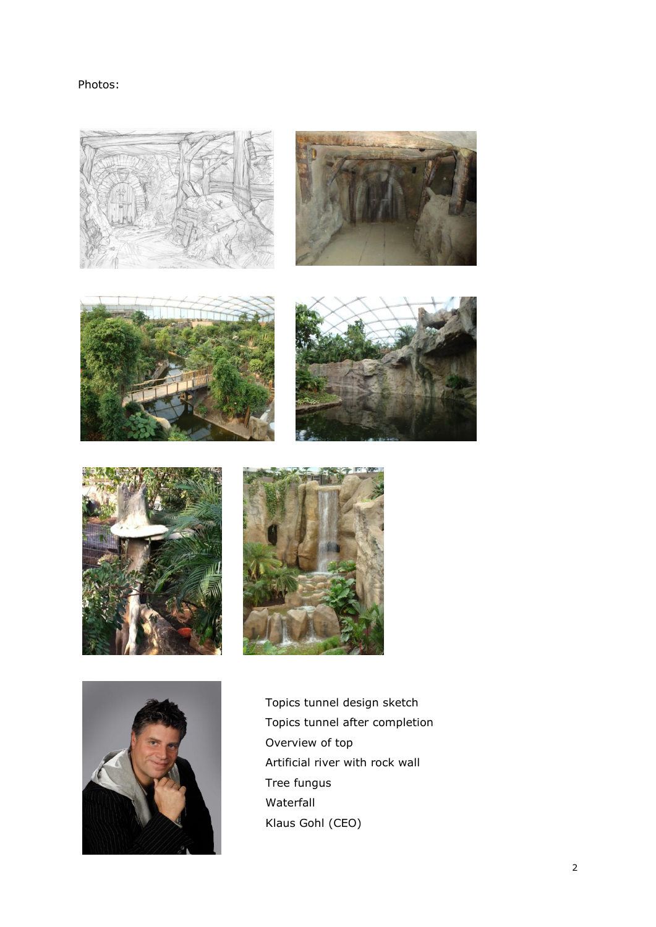Photos:









Topics tunnel design sketch Topics tunnel after completion Overview of top Artificial river with rock wall Tree fungus Waterfall Klaus Gohl (CEO)